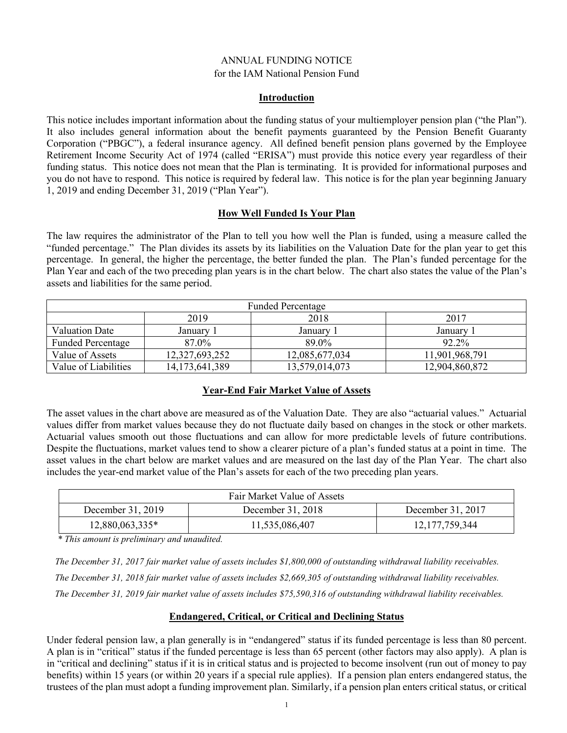#### ANNUAL FUNDING NOTICE for the IAM National Pension Fund

#### **Introduction**

This notice includes important information about the funding status of your multiemployer pension plan ("the Plan"). It also includes general information about the benefit payments guaranteed by the Pension Benefit Guaranty Corporation ("PBGC"), a federal insurance agency. All defined benefit pension plans governed by the Employee Retirement Income Security Act of 1974 (called "ERISA") must provide this notice every year regardless of their funding status. This notice does not mean that the Plan is terminating. It is provided for informational purposes and you do not have to respond. This notice is required by federal law. This notice is for the plan year beginning January 1, 2019 and ending December 31, 2019 ("Plan Year").

#### **How Well Funded Is Your Plan**

The law requires the administrator of the Plan to tell you how well the Plan is funded, using a measure called the "funded percentage." The Plan divides its assets by its liabilities on the Valuation Date for the plan year to get this percentage. In general, the higher the percentage, the better funded the plan. The Plan's funded percentage for the Plan Year and each of the two preceding plan years is in the chart below. The chart also states the value of the Plan's assets and liabilities for the same period.

| <b>Funded Percentage</b> |                   |                |                |  |
|--------------------------|-------------------|----------------|----------------|--|
|                          | 2019              | 2018           | 2017           |  |
| <b>Valuation Date</b>    | January 1         | Januarv        | January 1      |  |
| <b>Funded Percentage</b> | 87.0%             | 89.0%          | 92.2%          |  |
| Value of Assets          | 12,327,693,252    | 12,085,677,034 | 11,901,968,791 |  |
| Value of Liabilities     | 14, 173, 641, 389 | 13,579,014,073 | 12,904,860,872 |  |

### **Year-End Fair Market Value of Assets**

The asset values in the chart above are measured as of the Valuation Date. They are also "actuarial values." Actuarial values differ from market values because they do not fluctuate daily based on changes in the stock or other markets. Actuarial values smooth out those fluctuations and can allow for more predictable levels of future contributions. Despite the fluctuations, market values tend to show a clearer picture of a plan's funded status at a point in time. The asset values in the chart below are market values and are measured on the last day of the Plan Year. The chart also includes the year-end market value of the Plan's assets for each of the two preceding plan years.

| Fair Market Value of Assets |                   |                   |  |  |
|-----------------------------|-------------------|-------------------|--|--|
| December 31, 2019           | December 31, 2018 | December 31, 2017 |  |  |
| 12,880,063,335*             | 11,535,086,407    | 12, 177, 759, 344 |  |  |

*\* This amount is preliminary and unaudited.*

*The December 31, 2017 fair market value of assets includes \$1,800,000 of outstanding withdrawal liability receivables.*

*The December 31, 2018 fair market value of assets includes \$2,669,305 of outstanding withdrawal liability receivables.*

*The December 31, 2019 fair market value of assets includes \$75,590,316 of outstanding withdrawal liability receivables.*

### **Endangered, Critical, or Critical and Declining Status**

Under federal pension law, a plan generally is in "endangered" status if its funded percentage is less than 80 percent. A plan is in "critical" status if the funded percentage is less than 65 percent (other factors may also apply). A plan is in "critical and declining" status if it is in critical status and is projected to become insolvent (run out of money to pay benefits) within 15 years (or within 20 years if a special rule applies). If a pension plan enters endangered status, the trustees of the plan must adopt a funding improvement plan. Similarly, if a pension plan enters critical status, or critical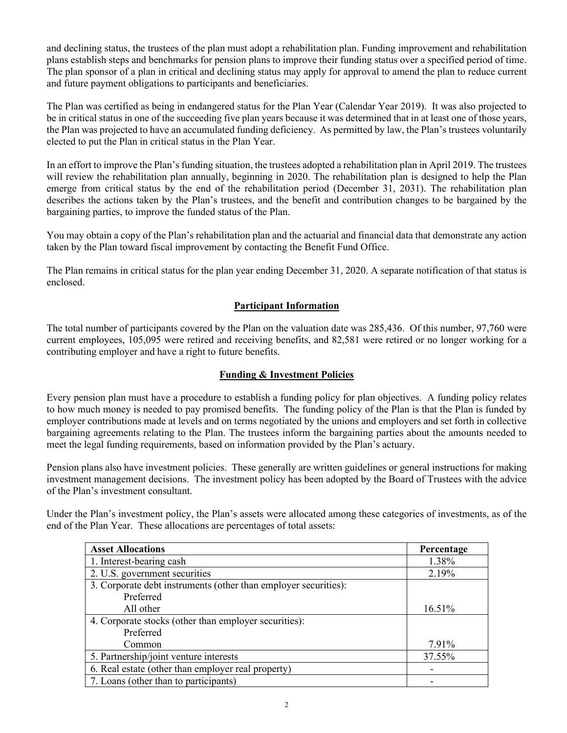and declining status, the trustees of the plan must adopt a rehabilitation plan. Funding improvement and rehabilitation plans establish steps and benchmarks for pension plans to improve their funding status over a specified period of time. The plan sponsor of a plan in critical and declining status may apply for approval to amend the plan to reduce current and future payment obligations to participants and beneficiaries.

The Plan was certified as being in endangered status for the Plan Year (Calendar Year 2019). It was also projected to be in critical status in one of the succeeding five plan years because it was determined that in at least one of those years, the Plan was projected to have an accumulated funding deficiency. As permitted by law, the Plan's trustees voluntarily elected to put the Plan in critical status in the Plan Year.

In an effort to improve the Plan's funding situation, the trustees adopted a rehabilitation plan in April 2019. The trustees will review the rehabilitation plan annually, beginning in 2020. The rehabilitation plan is designed to help the Plan emerge from critical status by the end of the rehabilitation period (December 31, 2031). The rehabilitation plan describes the actions taken by the Plan's trustees, and the benefit and contribution changes to be bargained by the bargaining parties, to improve the funded status of the Plan.

You may obtain a copy of the Plan's rehabilitation plan and the actuarial and financial data that demonstrate any action taken by the Plan toward fiscal improvement by contacting the Benefit Fund Office.

The Plan remains in critical status for the plan year ending December 31, 2020. A separate notification of that status is enclosed.

# **Participant Information**

The total number of participants covered by the Plan on the valuation date was 285,436. Of this number, 97,760 were current employees, 105,095 were retired and receiving benefits, and 82,581 were retired or no longer working for a contributing employer and have a right to future benefits.

### **Funding & Investment Policies**

Every pension plan must have a procedure to establish a funding policy for plan objectives. A funding policy relates to how much money is needed to pay promised benefits. The funding policy of the Plan is that the Plan is funded by employer contributions made at levels and on terms negotiated by the unions and employers and set forth in collective bargaining agreements relating to the Plan. The trustees inform the bargaining parties about the amounts needed to meet the legal funding requirements, based on information provided by the Plan's actuary.

Pension plans also have investment policies. These generally are written guidelines or general instructions for making investment management decisions. The investment policy has been adopted by the Board of Trustees with the advice of the Plan's investment consultant.

Under the Plan's investment policy, the Plan's assets were allocated among these categories of investments, as of the end of the Plan Year. These allocations are percentages of total assets:

| <b>Asset Allocations</b>                                        | Percentage |
|-----------------------------------------------------------------|------------|
| 1. Interest-bearing cash                                        | 1.38%      |
| 2. U.S. government securities                                   | 2.19%      |
| 3. Corporate debt instruments (other than employer securities): |            |
| Preferred                                                       |            |
| All other                                                       | 16.51%     |
| 4. Corporate stocks (other than employer securities):           |            |
| Preferred                                                       |            |
| Common                                                          | 7.91%      |
| 5. Partnership/joint venture interests                          | 37.55%     |
| 6. Real estate (other than employer real property)              |            |
| 7. Loans (other than to participants)                           |            |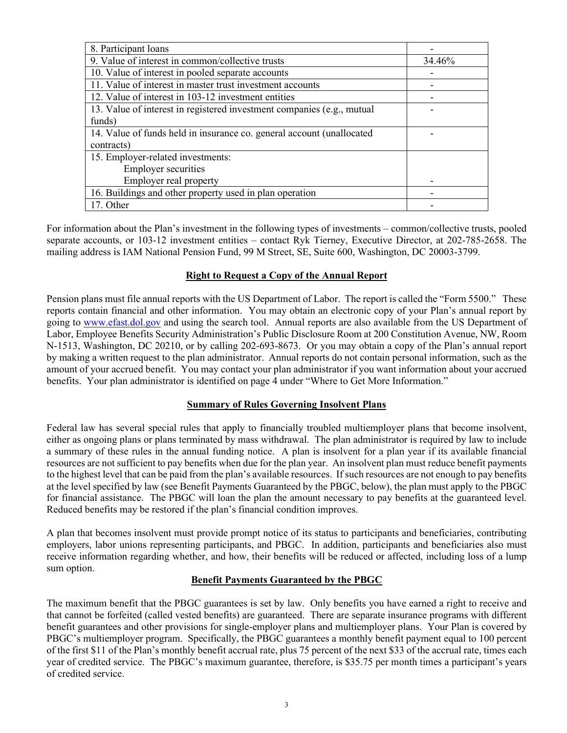| 8. Participant loans                                                   |        |
|------------------------------------------------------------------------|--------|
| 9. Value of interest in common/collective trusts                       | 34.46% |
| 10. Value of interest in pooled separate accounts                      |        |
| 11. Value of interest in master trust investment accounts              |        |
| 12. Value of interest in 103-12 investment entities                    |        |
| 13. Value of interest in registered investment companies (e.g., mutual |        |
| funds)                                                                 |        |
| 14. Value of funds held in insurance co. general account (unallocated  |        |
| contracts)                                                             |        |
| 15. Employer-related investments:                                      |        |
| <b>Employer securities</b>                                             |        |
| Employer real property                                                 |        |
| 16. Buildings and other property used in plan operation                |        |
| 17. Other                                                              |        |

For information about the Plan's investment in the following types of investments – common/collective trusts, pooled separate accounts, or 103-12 investment entities – contact Ryk Tierney, Executive Director, at 202-785-2658. The mailing address is IAM National Pension Fund, 99 M Street, SE, Suite 600, Washington, DC 20003-3799.

## **Right to Request a Copy of the Annual Report**

Pension plans must file annual reports with the US Department of Labor. The report is called the "Form 5500." These reports contain financial and other information. You may obtain an electronic copy of your Plan's annual report by going to [www.efast.dol.gov](http://www.efast.dol.gov/) and using the search tool. Annual reports are also available from the US Department of Labor, Employee Benefits Security Administration's Public Disclosure Room at 200 Constitution Avenue, NW, Room N-1513, Washington, DC 20210, or by calling 202-693-8673. Or you may obtain a copy of the Plan's annual report by making a written request to the plan administrator. Annual reports do not contain personal information, such as the amount of your accrued benefit. You may contact your plan administrator if you want information about your accrued benefits. Your plan administrator is identified on page 4 under "Where to Get More Information."

# **Summary of Rules Governing Insolvent Plans**

Federal law has several special rules that apply to financially troubled multiemployer plans that become insolvent, either as ongoing plans or plans terminated by mass withdrawal. The plan administrator is required by law to include a summary of these rules in the annual funding notice. A plan is insolvent for a plan year if its available financial resources are not sufficient to pay benefits when due for the plan year. An insolvent plan must reduce benefit payments to the highest level that can be paid from the plan's available resources. If such resources are not enough to pay benefits at the level specified by law (see Benefit Payments Guaranteed by the PBGC, below), the plan must apply to the PBGC for financial assistance. The PBGC will loan the plan the amount necessary to pay benefits at the guaranteed level. Reduced benefits may be restored if the plan's financial condition improves.

A plan that becomes insolvent must provide prompt notice of its status to participants and beneficiaries, contributing employers, labor unions representing participants, and PBGC. In addition, participants and beneficiaries also must receive information regarding whether, and how, their benefits will be reduced or affected, including loss of a lump sum option.

# **Benefit Payments Guaranteed by the PBGC**

The maximum benefit that the PBGC guarantees is set by law. Only benefits you have earned a right to receive and that cannot be forfeited (called vested benefits) are guaranteed. There are separate insurance programs with different benefit guarantees and other provisions for single-employer plans and multiemployer plans. Your Plan is covered by PBGC's multiemployer program. Specifically, the PBGC guarantees a monthly benefit payment equal to 100 percent of the first \$11 of the Plan's monthly benefit accrual rate, plus 75 percent of the next \$33 of the accrual rate, times each year of credited service. The PBGC's maximum guarantee, therefore, is \$35.75 per month times a participant's years of credited service.